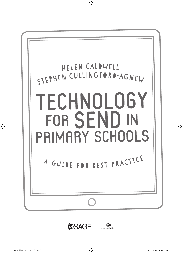

⊕





⊕

♠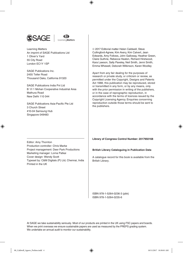



 $\bm \Theta$ 

Learning Matters An imprint of SAGE Publications Ltd 1 Oliver's Yard 55 City Road London EC1Y 1SP

SAGE Publications Inc. 2455 Teller Road Thousand Oaks, California 91320

SAGE Publications India Pvt Ltd B 1/I 1 Mohan Cooperative Industrial Area Mathura Road New Delhi 110 044

SAGE Publications Asia-Pacific Pte Ltd 3 Church Street #10-04 Samsung Hub Singapore 049483

⊕

 2017 Editorial matter Helen Caldwell, Steve Cullingford-Agnew, Kim Avery, Kim Calvert, Jean Edwards, Amy Follows, John Galloway, Heather Green, Claire Guthrie, Rebecca Heaton, Richard Hirstwood, Kara Lawson, Sally Paveley, Neil Smith, Jenni Smith, Emma Whewell, Deborah Wilkinson, Karen Woolley

Apart from any fair dealing for the purposes of research or private study, or criticism or review, as permitted under the Copyright, Designs and Patents Act 1988, this publication may be reproduced, stored or transmitted in any form, or by any means, only with the prior permission in writing of the publishers, or in the case of reprographic reproduction, in accordance with the terms of licences issued by the Copyright Licensing Agency. Enquiries concerning reproduction outside those terms should be sent to the publishers.

Editor: Amy Thornton Production controller: Chris Marke Project management: Deer Park Productions Marketing manager: Lorna Patkai Cover design: Wendy Scott Typeset by: C&M Digitals (P) Ltd, Chennai, India Printed in the UK

**Library of Congress Control Number: 2017950168**

#### **British Library Cataloguing in Publication Data**

A catalogue record for this book is available from the British Library.

ISBN 978-1-5264-0236-3 (pbk) ISBN 978-1-5264-0235-6

At SAGE we take sustainability seriously. Most of our products are printed in the UK using FSC papers and boards. When we print overseas we ensure sustainable papers are used as measured by the PREPS grading system. We undertake an annual audit to monitor our sustainability.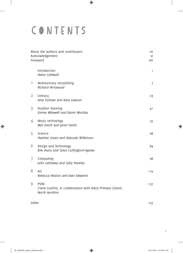# CONTENTS

 $\overline{\phantom{a}}$ 

 $\bigoplus$ 

| About the authors and contributors<br>Acknowledgement<br>Foreword |                                                                                              | vii<br>хi<br>xiii |
|-------------------------------------------------------------------|----------------------------------------------------------------------------------------------|-------------------|
|                                                                   | Introduction<br><b>Helen Caldwell</b>                                                        | 1                 |
| 1                                                                 | Multisensory storytelling<br>Richard Hirstwood                                               | $\overline{z}$    |
| $\overline{\mathbf{2}}$                                           | Literacy<br>Amy Follows and Kara Lawson                                                      | 23                |
| $\overline{\mathbf{3}}$                                           | Outdoor learning<br>Emma Whewell and Karen Woolley                                           | 41                |
| 4                                                                 | Music technology<br>Neil Smith and Jenni Smith                                               | 55                |
| 5                                                                 | Science<br>Heather Green and Deborah Wilkinson                                               | 68                |
| 6                                                                 | Design and Technology<br>Kim Avery and Steve Cullingford-Agnew                               | 84                |
| $\overline{1}$                                                    | Computing<br>John Galloway and Sally Paveley                                                 | 98                |
| 8                                                                 | Art<br>Rebecca Heaton and Jean Edwards                                                       | 119               |
| 9                                                                 | <b>PSHE</b><br>Claire Guthrie, in collaboration with Dalry Primary School,<br>North Ayrshire | 137               |
| Index                                                             |                                                                                              | 155               |

 $\bigoplus$ 

v

 $\mathbf{I}$ 

 $\bigoplus$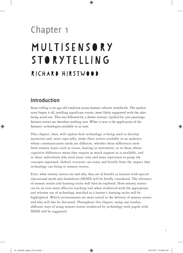# **Chapter 1** Multisensory storytelling Richard Hirstwood

# **Introduction**

⊕

Story-telling is an age-old tradition across human cultures worldwide. The spoken story began it all, retelling significant events, most likely supported with the tales being acted out. This was followed by a drawn version, typified by cave paintings. Sensory stories are therefore nothing new. What is new is the application of the fantastic technologies available to us now.

⊕

This chapter, then, will explore how technology is being used to develop narratives and, more especially, make these stories available to an audience whose communication needs are different, whether these differences stem from sensory losses such as vision, hearing or movement, or to those whose cognitive differences mean they require as much support as is available, and to those individuals who need more time and more repetition to grasp the concepts expressed. Indeed, everyone can enjoy and benefit from the impact that technology can bring to sensory stories.

First, what sensory stories are and why they are of benefit to learners with special educational needs and disabilities (SEND) will be briefly considered. The relevance of sensory stories and learning styles will then be explored. How sensory stories can be an even more effective teaching tool when reinforced with the appropriate and relevant use of technology matched to a learner's learning styles will be highlighted. Which environments are most suited to the delivery of sensory stories and why will also be discussed. Throughout this chapter, using case studies, different ways of using sensory stories reinforced by technology with pupils with SEND will be suggested.

7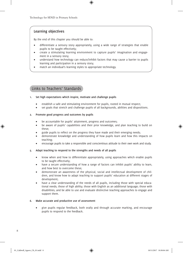### **Learning objectives**

By the end of this chapter you should be able to:

• differentiate a sensory story appropriately, using a wide range of strategies that enable pupils to be taught effectively;

⊕

- create a stimulating learning environment to capture pupils' imagination and engagement in a sensory story;
- understand how technology can reduce/inhibit factors that may cause a barrier to pupils learning and participation in a sensory story;
- match an individual's learning styles to appropriate technology.

### Links to Teachers' Standards

#### **1. Set high expectations which inspire, motivate and challenge pupils**

- establish a safe and stimulating environment for pupils, rooted in mutual respect;
- set goals that stretch and challenge pupils of all backgrounds, abilities and dispositions.

#### **2. Promote good progress and outcomes by pupils**

- be accountable for pupils' attainment, progress and outcomes;
- be aware of pupils' capabilities and their prior knowledge, and plan teaching to build on these;
- guide pupils to reflect on the progress they have made and their emerging needs;
- demonstrate knowledge and understanding of how pupils learn and how this impacts on teaching;
- encourage pupils to take a responsible and conscientious attitude to their own work and study.

#### **5. Adapt teaching to respond to the strengths and needs of all pupils**

- know when and how to differentiate appropriately, using approaches which enable pupils to be taught effectively;
- have a secure understanding of how a range of factors can inhibit pupils' ability to learn, and how best to overcome these;
- demonstrate an awareness of the physical, social and intellectual development of children, and know how to adapt teaching to support pupils' education at different stages of development;
- have a clear understanding of the needs of all pupils, including those with special educational needs; those of high ability; those with English as an additional language; those with disabilities; and be able to use and evaluate distinctive teaching approaches to engage and support them.

#### **6. Make accurate and productive use of assessment**

• give pupils regular feedback, both orally and through accurate marking, and encourage pupils to respond to the feedback.

⊕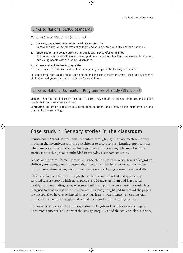## Links to National SENCO Standards

#### *National SENCO Standards (DfE, 2015)*

**9. Develop, implement, monitor and evaluate systems to:** Record and review the progress of children and young people with SEN and/or disabilities;

⊕

**4. Strategies for improving outcomes for pupils with SEN and/or disabilities** The potential of new technologies to support communication, teaching and learning for children and young people with SEN and/or disabilities.

#### **Part C: Personal and Professional Qualities**

There are high expectations for all children and young people with SEN and/or disabilities.

Person-centred approaches build upon and extend the experiences, interests, skills and knowledge of children and young people with SEN and/or disabilities.

## Links to National Curriculum Programmes of Study (DfE, 2013)

**English**: Children use discussion in order to learn; they should be able to elaborate and explain clearly their understanding and ideas.

**Computing:** Children are responsible, competent, confident and creative users of information and communication technology.

# **Case study 1: Sensory stories in the classroom**

Fountaindale School deliver their curriculum through play. This approach relies very much on the inventiveness of the practitioner to create sensory learning opportunities which use appropriate mobile technology to reinforce learning. The use of sensory stories as a teaching tool is embedded in everyday classroom activities.

A class of nine semi-formal learners, all wheelchair users with varied levels of cognitive abilities, are taking part in a lesson about volcanoes. All learn better with enhanced multisensory stimulation, with a strong focus on developing communication skills.

Their learning is delivered through the vehicle of an individual and specifically scripted sensory story, which takes place every Monday at 11am and is repeated weekly, in an expanding series of events, building upon the story week by week. It is designed to revisit areas of the curriculum previously taught and to remind the pupils of concepts they have experienced in previous lessons. An interactive learning wall illustrates the concepts taught and provides a focus for pupils to engage with.

The story develops over the term, expanding in length and complexity as the pupils learn more concepts. The script of the sensory story is set and the sequence does not vary,

♠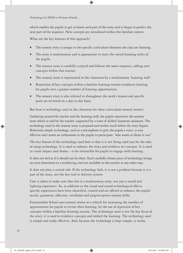which enables the pupils to get to know each part of the story and to begin to predict the next part of the sequence. New concepts are introduced within this familiar context.

 $\bigoplus$ 

What are the key features of this approach?

- The sensory story is unique to the specific curriculum elements the class are learning.
- The story is multisensory and is appropriate to meet the varied learning styles of the pupils.
- The sensory story is carefully scripted and follows the same sequence, adding new concepts within this routine.
- The sensory story is represented in the classroom by a multisensory 'learning wall'.
- Repetition of key concepts within a familiar learning routine reinforces learning for pupils over a greater number of learning opportunities.
- The sensory story is also referred to throughout the week's lessons and specific parts are revisited on a day-to-day basis.

But how is technology used in the classroom for these curriculum sensory stories?

Gathering around the teacher and the learning wall, the pupils experience the sensory story which is told by the teacher, supported by a team of skilled classroom assistants. The technology used in the sensory story is prepared and within reach before the story begins. Relatively simple technology, such as a microphone to give the pupils a voice, is very effective and creates an enthusiasm in the pupils to participate: 'who wants to shout it out?'

The key feature of the technology used here is that it is not being used just for the sake of using technology. It is used to enhance the story and reinforce its concepts. It is used to create impact and drama – to be irresistible for pupils to engage with learning.

It does not feel as if it should not be there. Each carefully chosen piece of technology brings an extra dimension or a reinforcing tool not available to the teacher in any other way.

It does not play a central role. If the technology fails, it is not a problem because it is a part of the story, not the key tool or delivery system.

Care is taken to make sure that this is a multisensory story, not just a sound and lighting experience. So, in addition to the visual and sound technological effects, specific experiences have been identified, created and are offered to enhance the pupils' tactile, gustatory, olfactory, vestibular and proprioceptive sensory skills.

Fountaindale School uses sensory stories as a vehicle for increasing the number of opportunities for pupils to revisit their learning, by the use of repetition of key concepts within a familiar learning routine. The technology used is not the key focus of the story; it is used to reinforce concepts and embed the learning. The technology used is simple and really effective. And, because the technology is kept simple, it works.

♠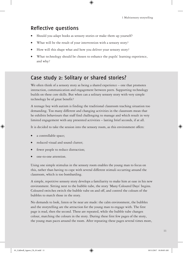## **Reflective questions**

- Should you adapt books as sensory stories or make them up yourself?
- What will be the result of your intervention with a sensory story?
- How will this shape what and how you deliver your sensory story?
- What technology should be chosen to enhance the pupils' learning experience, and why?

↔

# **Case study 2: Solitary or shared stories?**

We often think of a sensory story as being a shared experience – one that promotes interaction, communication and engagement between peers. Supporting technology builds on these core skills. But when can a solitary sensory story with very simple technology be of great benefit?

A teenage boy with autism is finding the traditional classroom teaching situation too demanding. Too many different and changing activities in the classroom mean that he exhibits behaviours that staff find challenging to manage and which result in very limited engagement with any presented activities – lasting brief seconds, if at all.

It is decided to take the session into the sensory room, as this environment offers:

a controllable space;

♠

- reduced visual and sound clutter;
- fewer people to reduce distraction;
- one-to-one attention.

Using one simple stimulus in the sensory room enables the young man to focus on this, rather than having to cope with several different stimuli occurring around the classroom, which is too bombarding.

A simple, repetitive sensory story develops a familiarity to make him at ease in his new environment. Sitting next to the bubble tube, the story 'Many Coloured Days' begins. Coloured switches switch the bubble tube on and off, and control the colours of the bubbles to match those in the story.

No demands to look, listen or be near are made: the calm environment, the bubbles and the storytelling are the attraction for the young man to engage with. The first page is read, then the second. These are repeated, while the bubble tube changes colour, matching the colours in the story. During these first few pages of the story, the young man paces around the room. After repeating these pages several times more,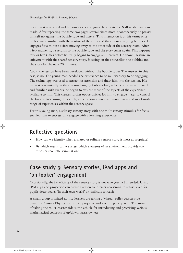his interest is aroused and he comes over and joins the storyteller. Still no demands are made. After repeating the same two pages several times more, spontaneously he presses himself up against the bubble tube and listens. This interaction is on his terms once he becomes familiar with the routine of the story and the colour changing bubbles. He engages for a minute before moving away to the other side of the sensory room. After a few moments, he returns to the bubble tube and the story starts again. This happens four or five times before he really begins to engage and interact. He shows pleasure and enjoyment with the shared sensory story, focusing on the storyteller, the bubbles and the story for the next 20 minutes.

⊕

Could the session have been developed without the bubble tube? The answer, in this case, is no. The young man needed the experience to be multisensory to be engaging. The technology was used to attract his attention and draw him into the session. His interest was initially in the colour-changing bubbles but, as he became more relaxed and familiar with events, he began to explore more of the aspects of the experience available to him. This creates further opportunities for him to engage  $-e.g.$  to control the bubble tube using the switch, as he becomes more and more interested in a broader range of experiences within the sensory space.

For this young man, a solitary sensory story with one multisensory stimulus for focus enabled him to successfully engage with a learning experience.

# **Reflective questions**

- How can we identify when a shared or solitary sensory story is most appropriate?
- By which means can we assess which elements of an environment provide too much or too little stimulation?

# **Case study 3: Sensory stories, iPad apps and 'on-looker' engagement**

Occasionally, the beneficiary of the sensory story is not who you had intended. Using iPad apps and projection can create a reason to interact too strong to refuse, even for pupils described as 'in their own world' or 'difficult to reach'.

A small group of mixed-ability learners are taking a 'virtual' roller-coaster ride using the Coaster Physics app, a pico projector and a white pop-up tent. The story of taking the roller-coaster ride is the vehicle for introducing and practising various mathematical concepts of up/down, fast/slow, etc.

⊕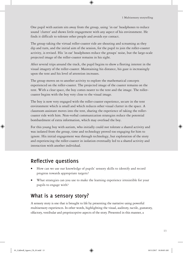One pupil with autism sits away from the group, using 'in ear' headphones to reduce sound 'clutter' and shows little engagement with any aspect of his environment. He finds it difficult to tolerate other people and avoids eye contact.

 $\bigoplus$ 

The group taking the virtual roller-coaster ride are shouting and screaming as they dip and turn, and the initial aim of the session, for the pupil to join the roller-coaster activity, is revised. His 'in ear' headphones reduce the groups' noise, but the large-scale projected image of the roller-coaster remains in his sight.

After several trips around the track, the pupil begins to show a fleeting interest in the visual imagery of the roller-coaster. Maintaining his distance, his gaze is increasingly upon the tent and his level of attention increases.

The group moves on to another activity to explore the mathematical concepts experienced on the roller-coaster. The projected image of the coaster remains on the tent. With a clear space, the boy comes nearer to the tent and the image. The rollercoaster begins with the boy very close to the visual image.

The boy is now very engaged with the roller-coaster experience, secure in the tent environment which is small and which reduces other visual clutter in the space. A classroom assistant moves into the tent, sharing the experience of taking the rollercoaster ride with him. Non-verbal communication strategies reduce the potential bombardment of extra information, which may overload the boy.

For this young boy with autism, who initially could not tolerate a shared activity and was isolated from the group, time and technology proved too engaging for him to ignore. His initial engagement was through technology, but exploration of the story and experiencing the roller-coaster in isolation eventually led to a shared activity and interaction with another individual.

# **Reflective questions**

- How can we use our knowledge of pupils' sensory skills to identify and record progress towards appropriate targets?
- What strategies can you use to make the learning experience irresistible for your pupils to engage with?

## **What is a sensory story?**

A sensory story is one that is brought to life by presenting the narrative using powerful multisensory experiences. In other words, highlighting the visual, auditory, tactile, gustatory, olfactory, vestibular and proprioceptive aspects of the story. Presented in this manner, a

⊕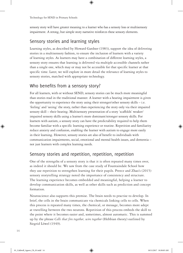sensory story will have greater meaning to a learner who has a sensory loss or multisensory impairment. A strong, but simple story narrative reinforces these sensory elements.

 $\circledast$ 

## Sensory stories and learning styles

Learning styles, as described by Howard Gardner (1983), support the idea of delivering stories in a multisensory fashion, to ensure the inclusion of learners with a variety of learning styles. As learners may have a combination of different learning styles, a sensory story ensures that learning is delivered via multiple accessible channels rather than a single one, which may or may not be accessible for that specific learner at that specific time. Later, we will explore in more detail the relevance of learning styles to sensory stories, matched with appropriate technology.

## Who benefits from a sensory story?

For all learners, with or without SEND, sensory stories can be much more meaningful than stories read in the traditional manner. A learner with a hearing impairment is given the opportunity to experience the story using their stronger/other sensory skills – i.e. 'feeling' and 'seeing' the story, rather than experiencing the story only via their impaired sensory skill – their hearing. Multisensory presentation of a story 'scaffolds' weaker/ impaired sensory skills using a learner's more dominant/stronger sensory skills. For learners with autism, a sensory story can have the predictability required to help them become familiar with a specific learning experience or routine. Repetition and familiarity reduce anxiety and confusion, enabling the learner with autism to engage more easily in their learning. However, sensory stories are also of benefit to individuals with communication impairments, social, emotional and mental health issues, and dementia – not just learners with complex learning needs.

## Sensory stories and repetition, repetition, repetition

One of the strengths of a sensory story is that it is often repeated many times over, as indeed it should be. We saw from the case study of Fountaindale School how they use repetition to strengthen learning for their pupils. Preece and Zhao's (2015) sensory storytelling strategy noted the importance of consistency and structure. The learning experience becomes embedded and meaningful, helping a learner to develop communication skills, as well as other skills such as prediction and concept formation.

Neuroscience also supports this premise. The brain needs to practise to develop. In brief, the cells in the brain communicate via chemicals linking cells to cells. When this process is repeated many times, the chemical, or message, becomes more adept at travelling between the two neurons. Repetition of this process embeds the skill to the point where it becomes easier and, sometimes, almost automatic. This is summed up by the phrase *Cells that fire together, wire together* (Hebbian theory) outlined by Siegrid Löwel (1949).

⊕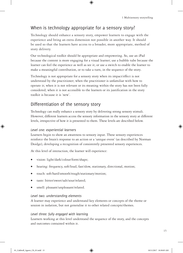## When is technology appropriate for a sensory story?

Technology should enhance a sensory story, empower learners to engage with the experience and bring an extra dimension not possible in another way. It should be used so that the learners have access to a broader, more appropriate, method of story delivery.

 $\bm \Theta$ 

Our technological toolkit should be appropriate and empowering. So, use an iPad because the content is more engaging for a visual learner; use a bubble tube because the learner can feel the experience as well as see it; or use a switch to enable the learner to make a meaningful contribution, or to take a turn, in the sequence of the story.

Technology is not appropriate for a sensory story when its impact/effect is not understood by the practitioner; when the practitioner is unfamiliar with how to operate it; when it is not relevant or its meaning within the story has not been fully considered; when it is not accessible to the learners or its justification in the story toolkit is because it is 'new'.

## Differentiation of the sensory story

Technology can really enhance a sensory story by delivering strong sensory stimuli. However, different learners access the sensory information in the sensory story at different levels, irrespective of how it is presented to them. These levels are described below.

#### *Level one: experiential learners*

Learners begin to show an awareness to sensory input. These sensory experiences reinforce the brain's response to an action or a 'unique event' (as described by Norman Doidge), developing a recognition of consistently presented sensory experiences.

At this level of interaction, the learner will experience:

- vision: light/dark/colour/form/shape;
- hearing: frequency, soft/loud, fast/slow, stationary, directional, motion;
- touch: soft/hard/smooth/rough/stationary/motion;
- taste: bitter/sweet/salt/sour/related;
- smell: pleasant/unpleasant/related.

#### *Level two: understanding elements*

A learner may experience and understand key elements or concepts of the theme or session in isolation, but not generalise it to other related concepts/themes.

#### *Level three: fully engaged with learning*

Learners working at this level understand the sequence of the story, and the concepts and outcomes contained within it.

15

⊕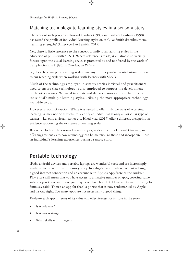## Matching technology to learning styles in a sensory story

 $\circledast$ 

The work of such people as Howard Gardner (1983) and Barbara Prashnig (1998) has raised the profile of individual learning styles or, as Clive Smith describes them, 'learning strengths' (Hirstwood and Smith, 2012).

Yet, there is little reference to the concept of individual learning styles in the education of pupils with SEND. Where reference is made, it all almost universally focuses upon the visual learning style, as promoted by and reinforced by the work of Temple Grandin (1995) in *Thinking in Pictures*.

So, does the concept of learning styles have any further positive contribution to make to our teaching style when working with learners with SEND?

Much of the technology employed in sensory stories is visual and practitioners need to ensure that technology is also employed to support the development of the other senses. We need to create and deliver sensory stories that meet an individual's multiple learning styles, utilising the most appropriate technology available to us.

However, a word of caution. While it is useful to offer multiple ways of accessing learning, it may not be as useful to identify an individual as only a particular type of learner – i.e. only a visual learner etc. Hood *et al*. (2017) offer a different viewpoint on evidence supporting the existence of learning styles.

Below, we look at the various learning styles, as described by Howard Gardner, and offer suggestions as to how technology can be matched to these and incorporated into an individual's learning experiences during a sensory story.

## **Portable technology**

iPads, android devices and portable laptops are wonderful tools and are increasingly available to use within your sensory story. In a digital world where content is king, a good internet connection and an account with Apple's App Store or the Android Play Store will mean that you have access to a massive number of apps, covering some subjects you know and those you may never have heard of. However, beware. Steve Jobs famously said: 'There's an app for that', a phrase that is now trademarked by Apple, and he was right. Too many apps are not necessarily a good thing.

Evaluate each app in terms of its value and effectiveness for its role in the story.

- Is it relevant?
- Is it motivating?
- What skills will it target?

⊕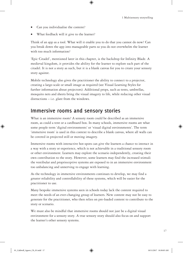- Can you individualise the content?
- What feedback will it give to the learner?

Think of an app as a tool. What will it enable you to do that you cannot do now? Can you break down the app into manageable parts so you do not overwhelm the learner with too much information?

 $\bigcirc$ 

'Epic Citadel', mentioned later in this chapter, is the backdrop for Infinity Blade. A medieval kingdom, it provides the ability for the learner to explore each part of the citadel. It is not a story as such, but it is a blank canvas for you to create your sensory story against.

Mobile technology also gives the practitioner the ability to connect to a projector, creating a large-scale or small image as required (see Visual Learning Styles for further information about projectors). Additional props, such as tents, umbrellas, mosquito nets and sheets bring the visual imagery to life, while reducing other visual distractions – i.e. glare from the windows.

# **Immersive rooms and sensory stories**

What is an immersive room? A sensory room could be described as an immersive room, as could a tent or a cardboard box. In many schools, immersive rooms are what some people term 'digital environments' or 'visual digital environments'. The term 'immersive room' is used in this context to describe a blank canvas, where all walls can be covered in projected still or moving imagery.

Immersive rooms with interactive hot-spots can give the learners a chance to interact in a way with a story or experience, which is not achievable in a traditional sensory room or other environment. Learners may explore the scenario independently, creating their own contribution to the story. However, some learners may find the increased stimuli the vestibular and proprioceptive systems are exposed to in an immersive environment too unbalancing and unnerving to engage with learning.

As the technology in immersive environments continues to develop, we may find a greater reliability and controllability of these systems, which will be easier for the practitioner to use.

Many bespoke immersive systems seen in schools today lack the content required to meet the needs of an ever-changing group of learners. New content may not be easy to generate for the practitioner, who then relies on pre-loaded content to contribute to the story or scenario.

We must also be mindful that immersive rooms should not just be a digital visual environment for a sensory story. A true sensory story should also focus on and support the learner's other sensory systems.

⊕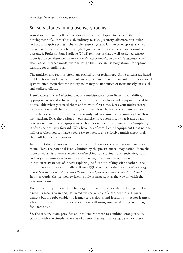## Sensory stories in multisensory rooms

A multisensory room offers practitioners a controlled space to focus on the development of a learner's visual, auditory, tactile, gustatory, olfactory, vestibular and proprioceptive senses – the whole sensory system. Unlike other spaces, such as a classroom, practitioners have a high degree of control over the sensory stimulus presented. Professor Paul Pagliano (2012) reminds us that a well-designed sensory room is a place where we can *increase or decrease a stimulus and use it in isolation or in combination*. In other words, custom design the space and sensory stimuli for optimal learning for an individual.

⊕

The multisensory room is often jam-packed full of technology. Some systems are based on PC software and may be difficult to program and therefore control. Complex control systems often mean that the sensory room may be underused or focus mostly on visual and auditory effects.

Here's where the 'AAA' principles of a multisensory room fit in – availability, appropriateness and achievability. Your multisensory tools and equipment need to be available when you need them and to work first time. Does your multisensory room really suit all the learning styles and needs of the learners who use it? For example, a visually cluttered room certainly will not suit the learning style of those with autism. Does the design of your multisensory room mean that it allows all practitioners to use the equipment without a vast technical knowledge? Simplicity is often the best way forward. Why have lots of complicated equipment (that no one will use) when you can have a few easy to operate and effective multisensory tools that will be in continuous use?

In terms of their sensory system, what can the learner experience in a multisensory room? Here, the potential is only limited by the practitioners' imagination. From the more obvious visual awareness/fixation/tracking to reducing light sensitivity; from auditory discrimination to auditory sequencing; from awareness, responding and initiation to awareness of others; exploring 'self' or turn-taking with another – the learning opportunities are endless. Bozic (1997) comments that *educational technology cannot be evaluated in isolation from the educational practices within which it is situated*. In other words, the technology itself is only as important as the way in which the practitioner uses it.

Each piece of equipment or technology in the sensory space should be regarded as a tool – a means to an end, delivered via the vehicle of a sensory story. How will using a bubble tube enable the learner to develop sound location skills? For learners who need to establish joint attention, how will using small-scale projected images facilitate this?

So, the sensory room provides an ideal environment to combine strong sensory stimuli with the simple narrative of a story. Learners may engage on a variety

⊕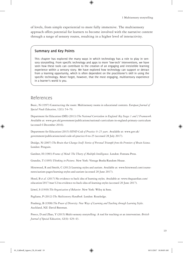of levels, from simple experiential to more fully immersive. The multisensory approach offers potential for learners to become involved with the narrative content through a range of sensory routes, resulting in a higher level of interactivity.

⊕

#### **Summary and Key Points**

This chapter has explored the many ways in which technology has a role to play in sensory storytelling. From specific technology and apps to more 'low-tech' interventions, we have seen how these tools can contribute to the creation of an engaging and irresistible learning experience within a sensory story. We have explored how technology can support or detract from a learning opportunity, which is often dependent on the practitioner's skill in using the specific technology. Never forget, however, that the most engaging, multisensory experience in a learner's world is you.

## References

⊕

Bozic, N (1997) Constructing the room: Multisensory rooms in educational contexts*. European Journal of Special Needs Education*, 12(1): 54–70.

Department for Education (DfE) (2013) *The National Curriculum in England: Key Stages 1 and 2 Framework*. Available at: www.gov.uk/government/publications/national-curriculum-in-england-primary-curriculum (accessed 6 December 2016).

Department for Education (2015) *SEND Code of Practice: 0–25 years*. Available at: www.gov.uk/ government/publications/send-code-of-practice-0-to-25 (accessed 28 July 2017).

Doidge, N (2007) *The Brain that Changes Itself: Stories of Personal Triumph from the Frontiers of Brain Science.* London: Penguin.

Gardner, H (1983) *Frames of Mind: The Theory of Multiple Intelligences*. London: Fontana Press.

Grandin, T (1995) *Thinking in Pictures*. New York: Vintage Books/Random House.

Hirstwood, R and Smith, C (2012) Learning styles and autism. Available at: www.hirstwood.com/coursenotes/autism-pages/learning-styles-and-autism (accessed 20 June 2017).

Hood, B *et al*. (2017) No evidence to back idea of learning styles*.* Available at: www.theguardian.com/ education/2017/mar/12/no-evidence-to-back-idea-of-learning-styles (accessed 20 June 2017).

Löwel, S (1949) *The Organization of Behavior*. New York: Wiley & Sons.

Pagliano, P (2012) *The Multisensory Handbook*. London: Routledge.

Prashnig, B (1998) *The Power of Diversity: New Ways of Learning and Teaching through Learning Styles*. Auckland, NZ: David Bateman.

Preece, D and Zhao, Y (2015) Multi-sensory storytelling: A tool for teaching or an intervention. *British Journal of Special Education*, 42(4): 429–43.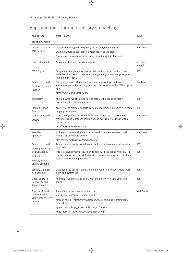# Apps and tools for multisensory storytelling

 $\bigoplus$ 

| App or tool                                                     | What it does                                                                                                                                                                              | Type               |  |  |
|-----------------------------------------------------------------|-------------------------------------------------------------------------------------------------------------------------------------------------------------------------------------------|--------------------|--|--|
| Sound and music                                                 |                                                                                                                                                                                           |                    |  |  |
| Roland VT3 Voice<br>Transformer                                 | Change the tone/pitch/frequency of the storyteller's voice<br>Enable learners to contribute a vocalisation to the story<br>Turn a voice into a musical instrument and sing with harmonies | Hardware           |  |  |
| Songify by Smule                                                | Automatically turns speech into music.                                                                                                                                                    | i0s and<br>Android |  |  |
| <b>CSTR Physics</b>                                             | Design and ride your very own realistic roller coaster, and see how<br>variables like speed, acceleration, energy and g-force change as you<br>ride along the track.                      | i0S                |  |  |
| Can be used with:<br>Car Dash by Andy<br>Pidcock                | Car dash is music which stops and starts, providing the learner<br>with the opportunity to start/stop the roller coaster in the CSTR Physics<br>App.<br>https://youtu.be/hS826kzMn5c      | YouTube            |  |  |
| ThumbJam                                                        | An iPad synth which realistically re-creates the sound of many<br>instruments like violins and pianos.                                                                                    | i0S                |  |  |
| Bloom by Brian<br>Eno                                           | Allows you to create elaborate patterns and unique melodies by simply<br>tapping the screen.                                                                                              | i0S                |  |  |
| Can be used with:<br>WoWee                                      | A portable gel speaker which turns any surface into a subwoofer,<br>emitting strong vibrations making sound accessible for those with a<br>hearing loss.                                  | Hardware           |  |  |
|                                                                 | http://www.woweeone.com/                                                                                                                                                                  |                    |  |  |
| Pretorian<br>Applicator                                         | A bluetooth device which acts as a switch interface between a switch<br>and an iOS or Android device.                                                                                     | Hardware           |  |  |
|                                                                 | http://www.pretorianuk.com/applicator                                                                                                                                                     |                    |  |  |
| Can be used with:<br>Drawing with Stars                         | An app, which can be switch controlled, and allows you to draw with<br>animated stars.                                                                                                    | i0S                |  |  |
| by L'Escapadou<br>and with:<br>Sensory Sound<br>Box by Cognable | This is a developmental touch skills app, with the capacity for switch<br>control. It was made for children with complex learning needs including<br>autism and visual impairment.        | i0S                |  |  |
| Sensory Light Box<br>by Cognable                                | Light Box uses abstract animation and sound to introduce basic touch<br>skills and awareness.                                                                                             | i0S                |  |  |
| Little Fox Music<br>Box by Fox and<br>Sheep GmbH                | An interactive sing-along book, with the ability to record your own<br>songs.                                                                                                             | i0S                |  |  |
| Sources of music                                                | SoundCloud - https://soundcloud.com/                                                                                                                                                      | Web Tools          |  |  |
| to accompany<br>your Sensory Story                              | Spotify - https://www.spotify.com/uk/                                                                                                                                                     |                    |  |  |
| include:                                                        | Amazon Music - https://www.amazon.co.uk/gp/dmusic/promotions/<br>PrimeMusic                                                                                                               |                    |  |  |
|                                                                 | Apple Music - http://www.apple.com/uk/music/                                                                                                                                              |                    |  |  |
|                                                                 | Andy Pidcock - http://www.andypidcock.com/                                                                                                                                                |                    |  |  |

 $\bigoplus$ 

 $\bigoplus$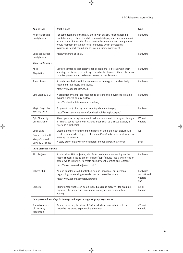$\mathbf{I}$ 

| App or tool                                                               | What it does                                                                                                                                                                                                                                                                                                                                    | <b>Type</b>                               |  |  |
|---------------------------------------------------------------------------|-------------------------------------------------------------------------------------------------------------------------------------------------------------------------------------------------------------------------------------------------------------------------------------------------------------------------------------------------|-------------------------------------------|--|--|
| Noise cancelling<br>headphones                                            | For some learners, particularly those with autism, noise-cancelling<br>headphones give them the ability to modulate/regulate sensory stimuli<br>around them. A transition from these to bone conduction headphones<br>would maintain the ability to self-modulate whilst developing<br>awareness to background sounds within their environment. | Hardware                                  |  |  |
| Bone conduction<br>headphones                                             | https://aftershokz.co.uk/                                                                                                                                                                                                                                                                                                                       | Hardware                                  |  |  |
| Kinaesthetic apps                                                         |                                                                                                                                                                                                                                                                                                                                                 |                                           |  |  |
| Xbox<br>Playstation                                                       | Gesture controlled technology enables learners to interact with their<br>learning, but is rarely seen in special schools. However, these platforms<br>do offer games and experiences relevant to our learners.                                                                                                                                  | Hardware                                  |  |  |
| Sound Beam                                                                | A touch free device which uses sensor technology to translate body<br>movement into music and sound.<br>http://www.soundbeam.co.uk/                                                                                                                                                                                                             | Hardware                                  |  |  |
| Omi Vista by OMI                                                          | A projection system that responds to gesture and movement, creating<br>dynamic images on any surface.<br>http://omi.uk/omivista-interactive-floor/                                                                                                                                                                                              | Hardware                                  |  |  |
| Magic Carpet by<br>Sensory Guru                                           | A dynamic projection system, creating dynamic imagery.<br>http://www.sensoryguru.com/product/mobile-magic-carpet/                                                                                                                                                                                                                               | Hardware                                  |  |  |
| Epic Citadel by<br>Unreal Engine                                          | Allows players to explore a medieval landscape and to navigate through<br>a fictional castle realm with various areas such as a circus bazaar, a<br>river and a cathedral.                                                                                                                                                                      | i0S and<br>Android                        |  |  |
| Color Band<br>Can be used with:<br>Many Coloured<br>Days by Dr Seuss      | Create a picture or draw simple shapes on the iPad, each picture will<br>create a sound when triggered by a hand/arm/body movement which is<br>seen by the camera.<br>A story exploring a variety of different moods linked to a colour.                                                                                                        | i0S<br><b>Book</b>                        |  |  |
| Intra-personal learning                                                   |                                                                                                                                                                                                                                                                                                                                                 |                                           |  |  |
| Pico Projector                                                            | A palm sized LED projector, with 80 to 200 lumens depending on the<br>model chosen. Used to project images/apps/movies into a white tent or<br>onto a white umbrella, to create an individual learning environment.<br>http://www.personalprojector.co.uk/                                                                                      | Hardware                                  |  |  |
| Sphero BB8                                                                | An app enabled droid. Controlled by one individual, but perhaps<br>negotiating an evolving obstacle course created by others.<br>http://www.sphero.com/starwars/bb8                                                                                                                                                                             | Hardware<br>and i0S and<br>Android<br>App |  |  |
| Camera                                                                    | Taking photographs can be an individual/group activity - for example<br>capturing the story clues on camera during a team treasure hunt<br>activity.                                                                                                                                                                                            | i0S or<br>Android                         |  |  |
| Inter-personal learning: Technology and apps to support group experiences |                                                                                                                                                                                                                                                                                                                                                 |                                           |  |  |
| The Adventures<br>of TinTin by<br>Moulinsart                              | An app depicting the story of TinTin, which presents choices to be<br>made by the group experiencing the story.                                                                                                                                                                                                                                 | i0S and<br>Android                        |  |  |

 $\bigoplus$ 

 $\bigoplus$ 

 $\overline{\phantom{a}}$ 

 $\bigoplus$ 

21